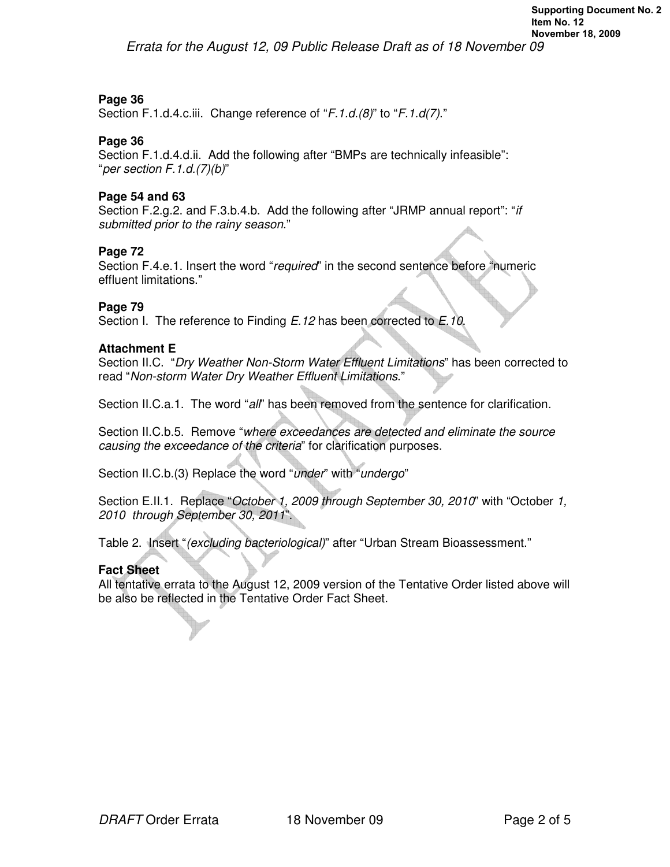Errata for the August 12, 09 Public Release Draft as of 18 November 09

# **Page 36**

Section F.1.d.4.c.iii. Change reference of "F.1.d.(8)" to "F.1.d(7)."

## **Page 36**

Section F.1.d.4.d.ii. Add the following after "BMPs are technically infeasible": "per section F.1.d.(7)(b)"

### **Page 54 and 63**

Section F.2.g.2. and F.3.b.4.b. Add the following after "JRMP annual report": "if submitted prior to the rainy season."

## **Page 72**

Section F.4.e.1. Insert the word "required" in the second sentence before "numeric effluent limitations."

### **Page 79**

Section I. The reference to Finding E.12 has been corrected to E.10.

### **Attachment E**

Section II.C. "Dry Weather Non-Storm Water Effluent Limitations" has been corrected to read "Non-storm Water Dry Weather Effluent Limitations."

Section II.C.a.1. The word "all" has been removed from the sentence for clarification.

Section II.C.b.5. Remove "where exceedances are detected and eliminate the source causing the exceedance of the criteria" for clarification purposes.

Section II.C.b.(3) Replace the word "under" with "undergo"

Section E.II.1. Replace "October 1, 2009 through September 30, 2010" with "October 1, 2010 through September 30, 2011".

Table 2. Insert "(excluding bacteriological)" after "Urban Stream Bioassessment."

## **Fact Sheet**

All tentative errata to the August 12, 2009 version of the Tentative Order listed above will be also be reflected in the Tentative Order Fact Sheet.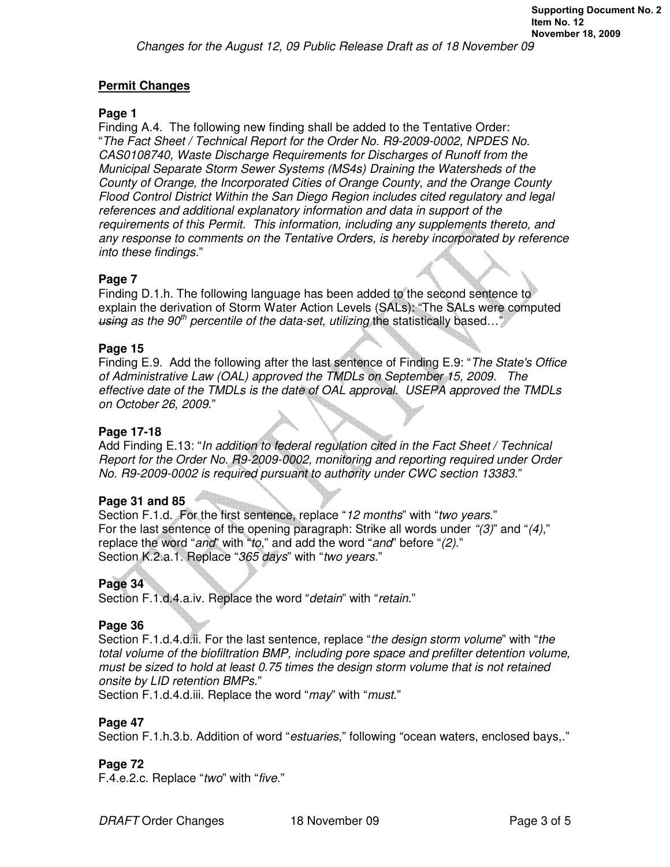# **Permit Changes**

## **Page 1**

Finding A.4. The following new finding shall be added to the Tentative Order: "The Fact Sheet / Technical Report for the Order No. R9-2009-0002, NPDES No. CAS0108740, Waste Discharge Requirements for Discharges of Runoff from the Municipal Separate Storm Sewer Systems (MS4s) Draining the Watersheds of the County of Orange, the Incorporated Cities of Orange County, and the Orange County Flood Control District Within the San Diego Region includes cited regulatory and legal references and additional explanatory information and data in support of the requirements of this Permit. This information, including any supplements thereto, and any response to comments on the Tentative Orders, is hereby incorporated by reference into these findings."

# **Page 7**

Finding D.1.h. The following language has been added to the second sentence to explain the derivation of Storm Water Action Levels (SALs): "The SALs were computed using as the 90<sup>th</sup> percentile of the data-set, utilizing the statistically based..."

## **Page 15**

Finding E.9. Add the following after the last sentence of Finding E.9: "The State's Office of Administrative Law (OAL) approved the TMDLs on September 15, 2009. The effective date of the TMDLs is the date of OAL approval. USEPA approved the TMDLs on October 26, 2009."

# **Page 17-18**

Add Finding E.13: "In addition to federal regulation cited in the Fact Sheet / Technical Report for the Order No. R9-2009-0002, monitoring and reporting required under Order No. R9-2009-0002 is required pursuant to authority under CWC section 13383."

## **Page 31 and 85**

Section F.1.d. For the first sentence, replace "12 months" with "two years." For the last sentence of the opening paragraph: Strike all words under "(3)" and "(4)," replace the word "and" with "to," and add the word "and" before "(2)." Section K.2.a.1. Replace "365 days" with "two years."

# **Page 34**

Section F.1.d.4.a.iv. Replace the word "detain" with "retain."

## **Page 36**

Section F.1.d.4.d.ii. For the last sentence, replace "the design storm volume" with "the total volume of the biofiltration BMP, including pore space and prefilter detention volume, must be sized to hold at least 0.75 times the design storm volume that is not retained onsite by LID retention BMPs."

Section F.1.d.4.d.iii. Replace the word "may" with "must."

## **Page 47**

Section F.1.h.3.b. Addition of word "*estuaries*," following "ocean waters, enclosed bays,."

## **Page 72**

F.4.e.2.c. Replace "two" with "five."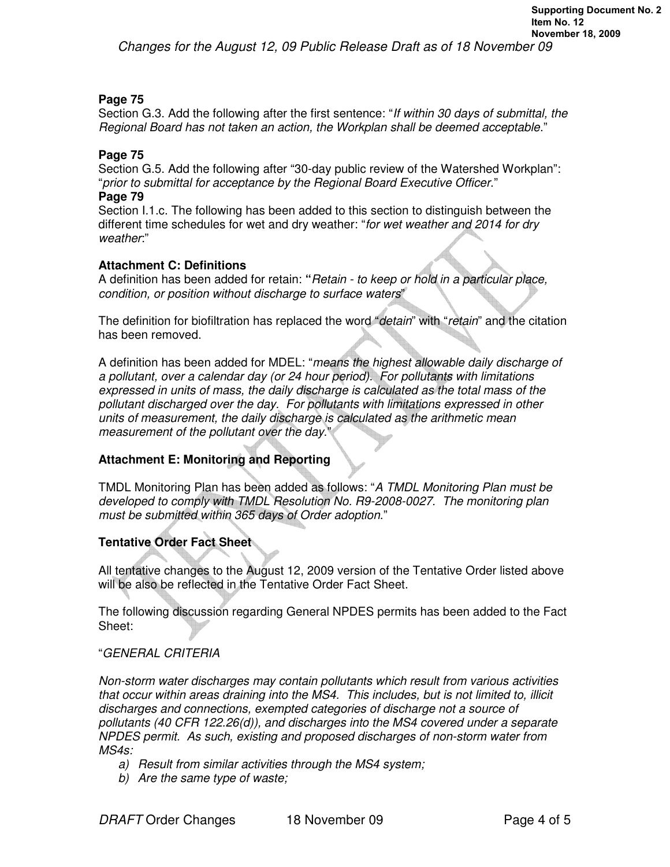## **Page 75**

Section G.3. Add the following after the first sentence: "If within 30 days of submittal, the Regional Board has not taken an action, the Workplan shall be deemed acceptable."

## **Page 75**

Section G.5. Add the following after "30-day public review of the Watershed Workplan": "prior to submittal for acceptance by the Regional Board Executive Officer." **Page 79** 

Section I.1.c. The following has been added to this section to distinguish between the different time schedules for wet and dry weather: "for wet weather and 2014 for dry weather"

## **Attachment C: Definitions**

A definition has been added for retain: **"**Retain - to keep or hold in a particular place, condition, or position without discharge to surface waters"

The definition for biofiltration has replaced the word "detain" with "retain" and the citation has been removed.

A definition has been added for MDEL: "means the highest allowable daily discharge of a pollutant, over a calendar day (or 24 hour period). For pollutants with limitations expressed in units of mass, the daily discharge is calculated as the total mass of the pollutant discharged over the day. For pollutants with limitations expressed in other units of measurement, the daily discharge is calculated as the arithmetic mean measurement of the pollutant over the day."

## **Attachment E: Monitoring and Reporting**

TMDL Monitoring Plan has been added as follows: "A TMDL Monitoring Plan must be developed to comply with TMDL Resolution No. R9-2008-0027. The monitoring plan must be submitted within 365 days of Order adoption."

# **Tentative Order Fact Sheet**

All tentative changes to the August 12, 2009 version of the Tentative Order listed above will be also be reflected in the Tentative Order Fact Sheet.

The following discussion regarding General NPDES permits has been added to the Fact Sheet:

## "GENERAL CRITERIA

Non-storm water discharges may contain pollutants which result from various activities that occur within areas draining into the MS4. This includes, but is not limited to, illicit discharges and connections, exempted categories of discharge not a source of pollutants (40 CFR 122.26(d)), and discharges into the MS4 covered under a separate NPDES permit. As such, existing and proposed discharges of non-storm water from MS4s:

- a) Result from similar activities through the MS4 system;
- b) Are the same type of waste;